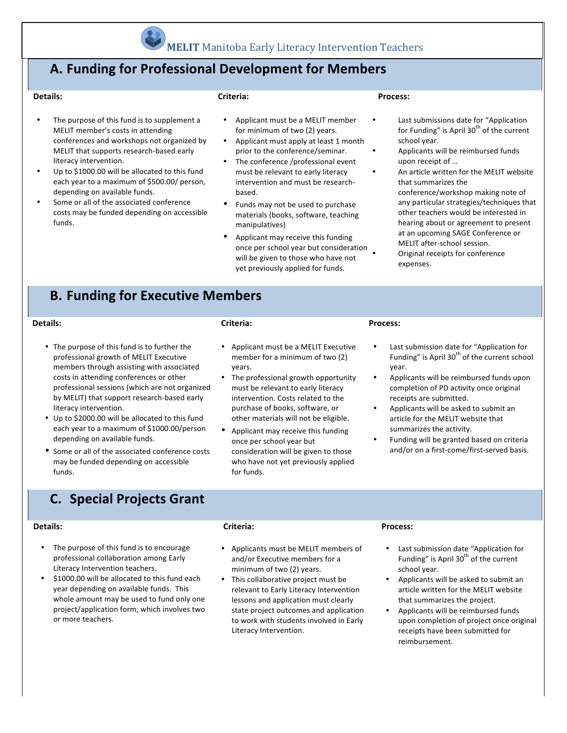

The purpose of this fund is to supplement a MELIT member's costs in attending

MELIT that supports research-based early

Some or all of the associated conference costs may be funded depending on accessible

Up to \$1000.00 will be allocated to this fund each year to a maximum of \$500.00/ person,

literacy intervention.

depending on available funds.

## **A. Funding for Professional Development for Members**

#### **Details:**

#### **Criteria:**

- conferences and workshops not organized by Applicant must be a MELIT member for minimum of two (2) years.
	- Applicant must apply at least 1 month prior to the conference/seminar.
	- The conference /professional event must be relevant to early literacy intervention and must be researchbased.
	- Funds may not be used to purchase materials (books, software, teaching manipulatives)
	- Applicant may receive this funding once per school year but consideration will be given to those who have not yet previously applied for funds.

#### **Process:**

- Last submissions date for "Application for Funding" is April  $30<sup>th</sup>$  of the current school year.
- Applicants will be reimbursed funds upon receipt of ...
- An article written for the MELIT website that summarizes the conference/workshop making note of any particular strategies/techniques that other teachers would be interested in hearing about or agreement to present at an upcoming SAGE Conference or MELIT after-school session. Original receipts for conference

**B.** Funding for Executive Members

#### **Details:**

funds.

#### **Criteria:**

- The purpose of this fund is to further the professional growth of MELIT Executive members through assisting with associated costs in attending conferences or other professional sessions (which are not organized by MELIT) that support research-based early literacy intervention.
- Up to \$2000.00 will be allocated to this fund each year to a maximum of \$1000.00/person depending on available funds.
- Some or all of the associated conference costs may be funded depending on accessible funds.
- Applicant must be a MELIT Executive member for a minimum of two (2) years.
- The professional growth opportunity must be relevant to early literacy intervention. Costs related to the purchase of books, software, or other materials will not be eligible.
- Applicant may receive this funding once per school year but consideration will be given to those who have not yet previously applied for funds.

#### **Process:**

expenses.

- Last submission date for "Application for Funding" is April  $30<sup>th</sup>$  of the current school year.
- Applicants will be reimbursed funds upon completion of PD activity once original receipts are submitted.
- Applicants will be asked to submit an article for the MELIT website that summarizes the activity.
- Funding will be granted based on criteria and/or on a first-come/first-served basis.

### **C. Special Projects Grant**

#### **Details:**

- The purpose of this fund is to encourage professional collaboration among Early Literacy Intervention teachers.
- \$1000.00 will be allocated to this fund each year depending on available funds. This whole amount may be used to fund only one project/application form, which involves two or more teachers.

#### **Criteria:**

- Applicants must be MELIT members of and/or Executive members for a minimum of two (2) years.
- This collaborative project must be relevant to Early Literacy Intervention lessons and application must clearly state project outcomes and application to work with students involved in Early Literacy Intervention.

#### **Process:**

- Last submission date "Application for Funding" is April  $30<sup>th</sup>$  of the current school year.
- Applicants will be asked to submit an article written for the MELIT website that summarizes the project.
- Applicants will be reimbursed funds upon completion of project once original receipts have been submitted for reimbursement.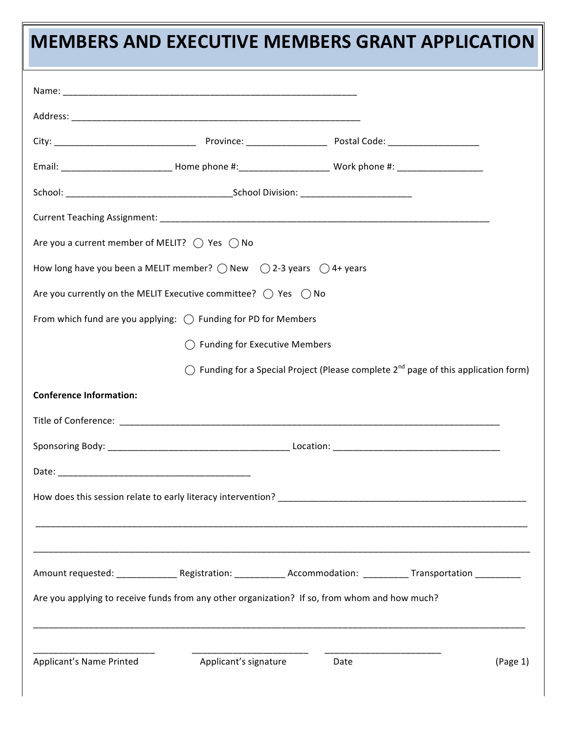# **MEMBERS AND EXECUTIVE MEMBERS GRANT APPLICATION**

| Are you a current member of MELIT? $\bigcirc$ Yes $\bigcirc$ No                                                                                                               |                                 |                                                                                                          |
|-------------------------------------------------------------------------------------------------------------------------------------------------------------------------------|---------------------------------|----------------------------------------------------------------------------------------------------------|
| How long have you been a MELIT member? $\bigcirc$ New $\bigcirc$ 2-3 years $\bigcirc$ 4+ years                                                                                |                                 |                                                                                                          |
| Are you currently on the MELIT Executive committee? $\bigcirc$ Yes $\bigcirc$ No                                                                                              |                                 |                                                                                                          |
| From which fund are you applying: $\bigcirc$ Funding for PD for Members                                                                                                       |                                 |                                                                                                          |
|                                                                                                                                                                               | ◯ Funding for Executive Members |                                                                                                          |
|                                                                                                                                                                               |                                 | $\bigcirc$ Funding for a Special Project (Please complete 2 <sup>nd</sup> page of this application form) |
| <b>Conference Information:</b>                                                                                                                                                |                                 |                                                                                                          |
|                                                                                                                                                                               |                                 |                                                                                                          |
|                                                                                                                                                                               |                                 |                                                                                                          |
| Date:                                                                                                                                                                         |                                 |                                                                                                          |
| How does this session relate to early literacy intervention?<br>The matter of the contract of the contract of the contract of the contract of the contract of the contract of |                                 |                                                                                                          |
|                                                                                                                                                                               |                                 |                                                                                                          |
|                                                                                                                                                                               |                                 |                                                                                                          |
|                                                                                                                                                                               |                                 |                                                                                                          |
| Are you applying to receive funds from any other organization? If so, from whom and how much?                                                                                 |                                 |                                                                                                          |
|                                                                                                                                                                               |                                 |                                                                                                          |
|                                                                                                                                                                               |                                 |                                                                                                          |
| Applicant's Name Printed                                                                                                                                                      | Applicant's signature           | Date<br>(Page 1)                                                                                         |